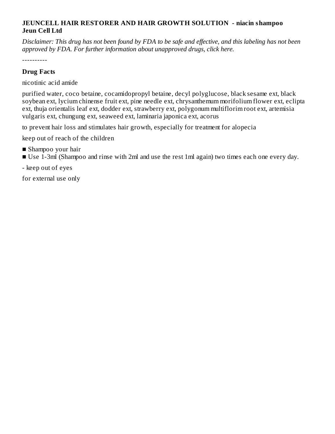#### **JEUNCELL HAIR RESTORER AND HAIR GROWTH SOLUTION - niacin shampoo Jeun Cell Ltd**

Disclaimer: This drug has not been found by FDA to be safe and effective, and this labeling has not been *approved by FDA. For further information about unapproved drugs, click here.*

----------

## **Drug Facts**

nicotinic acid amide

purified water, coco betaine, cocamidopropyl betaine, decyl polyglucose, black sesame ext, black soybean ext, lycium chinense fruit ext, pine needle ext, chrysanthemum morifolium flower ext, eclipta ext, thuja orientalis leaf ext, dodder ext, strawberry ext, polygonum multiflorim root ext, artemisia vulgaris ext, chungung ext, seaweed ext, laminaria japonica ext, acorus

to prevent hair loss and stimulates hair growth, especially for treatment for alopecia

keep out of reach of the children

- Shampoo your hair
- Use 1-3ml (Shampoo and rinse with 2ml and use the rest 1ml again) two times each one every day.

- keep out of eyes

for external use only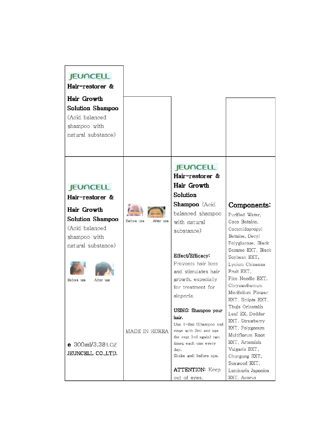## **JEUNCELL**

Hair-restorer &

Hair Growth Solution Shampoo (Acid balanced shampoo with natural substance)

#### **JEUNCELL**

Hair-restorer &

Hair Growth Solution Shampoo (Acid balanced shampoo with natural substance)



 $e$  300ml/3.38fl.oz

JEUNCELL CO., LTD.

Before use

Before use After use

MADE IN KOREA

# **JEUNCELL**

Hair-restorer & Hair Growth Solution

Shampoo (Acid balanced shampoo with natural

substance)

Effect/Efficacy:

Prevents hair loss

and stimulates hair

growth, especially

for treatment for

ringe with 2ml and use

the rest 1ml again) two

times each one every

Shake well before use.

**ATTENTION: Keep** 

out of eyes.

alopecia.

hair.

day.

## Components:

Purified Water, Coco Betaine. Cocamidopropyl Betaine, Decyl Polyglucose, Black Sesame EXT, Black Soybean EXT, Lycium Chinense Fruit EXT. Pine Needle EXT, Chrysanthemum Morifolium Flower EXT. Eclipta EXT. Thuja Orientalis USING: Shampoo your Leaf EX, Dodder EXT, Strawberry Use 1-3ml (Shampoo and EXT, Polygonum Multiflorum Root EXT, Artemisia Vulgaris EXT, Chungung EXT, Seaweed EXT, Laminaria Japonica EXT, Acorus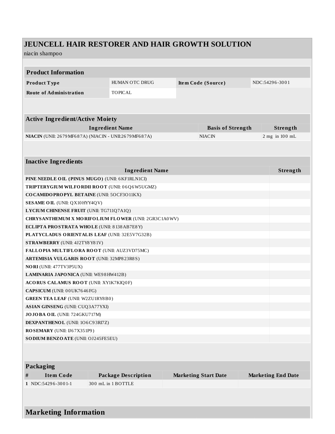# JEUNCELL HAIR RESTORER AND HAIR GROWTH SOLUTION

#### niacin shampoo

| <b>Product Information</b>                        |                                                        |                             |                           |  |  |  |
|---------------------------------------------------|--------------------------------------------------------|-----------------------------|---------------------------|--|--|--|
|                                                   |                                                        |                             |                           |  |  |  |
| Product Type                                      | HUMAN OTC DRUG                                         | Item Code (Source)          | NDC:54296-3001            |  |  |  |
| <b>Route of Administration</b>                    | <b>TOPICAL</b>                                         |                             |                           |  |  |  |
|                                                   |                                                        |                             |                           |  |  |  |
|                                                   |                                                        |                             |                           |  |  |  |
| <b>Active Ingredient/Active Moiety</b>            |                                                        |                             |                           |  |  |  |
|                                                   | <b>Ingredient Name</b>                                 | <b>Basis of Strength</b>    | Strength                  |  |  |  |
|                                                   | NIACIN (UNII: 2679 MF687A) (NIACIN - UNII:2679 MF687A) | <b>NIACIN</b>               | $2$ mg in $100$ mL        |  |  |  |
|                                                   |                                                        |                             |                           |  |  |  |
|                                                   |                                                        |                             |                           |  |  |  |
| <b>Inactive Ingredients</b>                       |                                                        |                             |                           |  |  |  |
|                                                   | <b>Ingredient Name</b>                                 |                             | Strength                  |  |  |  |
| PINE NEEDLE OIL (PINUS MUGO) (UNII: 6 KF1RLN1CI)  |                                                        |                             |                           |  |  |  |
|                                                   | TRIPTERYGIUM WILFORDII ROOT (UNII: 06Q6W5UGMZ)         |                             |                           |  |  |  |
| COCAMIDO PROPYL BETAINE (UNII: 5OCF3011KX)        |                                                        |                             |                           |  |  |  |
| <b>SESAME OIL (UNII: QX10 HYY4QV)</b>             |                                                        |                             |                           |  |  |  |
| LYCIUM CHINENSE FRUIT (UNII: TG711Q7A1Q)          |                                                        |                             |                           |  |  |  |
|                                                   | CHRYSANTHEMUM X MORIFOLIUM FLOWER (UNII: 2GR3C1A0WV)   |                             |                           |  |  |  |
| ECLIPTA PROSTRATA WHOLE (UNII: 8138 AB7E8Y)       |                                                        |                             |                           |  |  |  |
|                                                   | PLATYCLADUS ORIENTALIS LEAF (UNII: 32E5V7G32B)         |                             |                           |  |  |  |
| <b>STRAWBERRY</b> (UNII: 4J2TY8Y81V)              |                                                        |                             |                           |  |  |  |
| FALLOPIA MULTIFLORA ROOT (UNII: AUZ3VD75MC)       |                                                        |                             |                           |  |  |  |
| <b>ARTEMISIA VULGARIS ROOT (UNII: 32MP823R8S)</b> |                                                        |                             |                           |  |  |  |
| NORI (UNII: 477TV3P5UX)                           |                                                        |                             |                           |  |  |  |
| LAMINARIA JAPONICA (UNII: WE98HW412B)             |                                                        |                             |                           |  |  |  |
| ACORUS CALAMUS ROOT (UNII: XY1K7KIQ0F)            |                                                        |                             |                           |  |  |  |
| CAPSICUM (UNII: 00UK7646FG)                       |                                                        |                             |                           |  |  |  |
| <b>GREEN TEA LEAF (UNII: W2ZU1RY8B0)</b>          |                                                        |                             |                           |  |  |  |
| <b>ASIAN GINSENG (UNII: CUQ3A77YXI)</b>           |                                                        |                             |                           |  |  |  |
| JOJOBA OIL (UNII: 724GKU717M)                     |                                                        |                             |                           |  |  |  |
| DEXPANTHENOL (UNII: 106C93RI7Z)                   |                                                        |                             |                           |  |  |  |
| ROSEMARY (UNII: U67X351P9)                        |                                                        |                             |                           |  |  |  |
| SODIUM BENZOATE (UNII: OJ245FE5EU)                |                                                        |                             |                           |  |  |  |
|                                                   |                                                        |                             |                           |  |  |  |
|                                                   |                                                        |                             |                           |  |  |  |
| Packaging                                         |                                                        |                             |                           |  |  |  |
| $\#$<br><b>Item Code</b>                          | <b>Package Description</b>                             | <b>Marketing Start Date</b> | <b>Marketing End Date</b> |  |  |  |
| 1 NDC:54296-3001-1                                | 300 mL in 1 BOTTLE                                     |                             |                           |  |  |  |
|                                                   |                                                        |                             |                           |  |  |  |
|                                                   |                                                        |                             |                           |  |  |  |
|                                                   |                                                        |                             |                           |  |  |  |
| <b>Marketing Information</b>                      |                                                        |                             |                           |  |  |  |